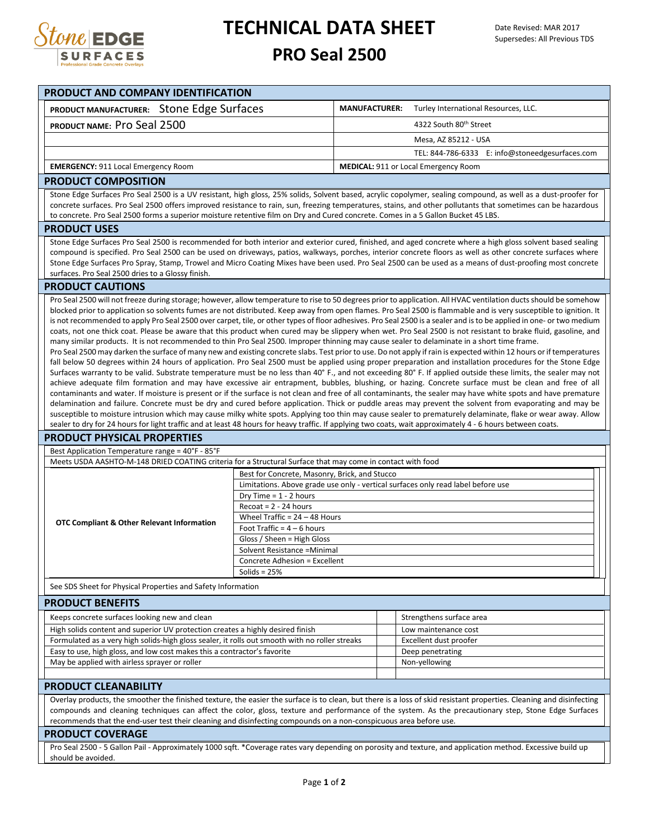

## **TECHNICAL DATA SHEET**

## **PRO Seal 2500**

| PRODUCT AND COMPANY IDENTIFICATION                                                                                                                                                                                                                                                                                                                                                                                                                                                                                                                                                                                                                                                                                                                                                                                                                                                                                                                                                                                                                                                                                                                                                                                                                                                                                                                                                                                                                                                                                                                                                                                                                                                                                                                                                                                                                                                                                                                                                                                                                                                                                                                                                               |                                                                                                              |                      |                                                 |
|--------------------------------------------------------------------------------------------------------------------------------------------------------------------------------------------------------------------------------------------------------------------------------------------------------------------------------------------------------------------------------------------------------------------------------------------------------------------------------------------------------------------------------------------------------------------------------------------------------------------------------------------------------------------------------------------------------------------------------------------------------------------------------------------------------------------------------------------------------------------------------------------------------------------------------------------------------------------------------------------------------------------------------------------------------------------------------------------------------------------------------------------------------------------------------------------------------------------------------------------------------------------------------------------------------------------------------------------------------------------------------------------------------------------------------------------------------------------------------------------------------------------------------------------------------------------------------------------------------------------------------------------------------------------------------------------------------------------------------------------------------------------------------------------------------------------------------------------------------------------------------------------------------------------------------------------------------------------------------------------------------------------------------------------------------------------------------------------------------------------------------------------------------------------------------------------------|--------------------------------------------------------------------------------------------------------------|----------------------|-------------------------------------------------|
| PRODUCT MANUFACTURER: Stone Edge Surfaces                                                                                                                                                                                                                                                                                                                                                                                                                                                                                                                                                                                                                                                                                                                                                                                                                                                                                                                                                                                                                                                                                                                                                                                                                                                                                                                                                                                                                                                                                                                                                                                                                                                                                                                                                                                                                                                                                                                                                                                                                                                                                                                                                        |                                                                                                              | <b>MANUFACTURER:</b> | Turley International Resources, LLC.            |
| PRODUCT NAME: Pro Seal 2500                                                                                                                                                                                                                                                                                                                                                                                                                                                                                                                                                                                                                                                                                                                                                                                                                                                                                                                                                                                                                                                                                                                                                                                                                                                                                                                                                                                                                                                                                                                                                                                                                                                                                                                                                                                                                                                                                                                                                                                                                                                                                                                                                                      |                                                                                                              |                      | 4322 South 80th Street                          |
|                                                                                                                                                                                                                                                                                                                                                                                                                                                                                                                                                                                                                                                                                                                                                                                                                                                                                                                                                                                                                                                                                                                                                                                                                                                                                                                                                                                                                                                                                                                                                                                                                                                                                                                                                                                                                                                                                                                                                                                                                                                                                                                                                                                                  |                                                                                                              |                      | Mesa, AZ 85212 - USA                            |
|                                                                                                                                                                                                                                                                                                                                                                                                                                                                                                                                                                                                                                                                                                                                                                                                                                                                                                                                                                                                                                                                                                                                                                                                                                                                                                                                                                                                                                                                                                                                                                                                                                                                                                                                                                                                                                                                                                                                                                                                                                                                                                                                                                                                  |                                                                                                              |                      | TEL: 844-786-6333 E: info@stoneedgesurfaces.com |
| <b>EMERGENCY: 911 Local Emergency Room</b>                                                                                                                                                                                                                                                                                                                                                                                                                                                                                                                                                                                                                                                                                                                                                                                                                                                                                                                                                                                                                                                                                                                                                                                                                                                                                                                                                                                                                                                                                                                                                                                                                                                                                                                                                                                                                                                                                                                                                                                                                                                                                                                                                       |                                                                                                              |                      | <b>MEDICAL: 911 or Local Emergency Room</b>     |
| <b>PRODUCT COMPOSITION</b>                                                                                                                                                                                                                                                                                                                                                                                                                                                                                                                                                                                                                                                                                                                                                                                                                                                                                                                                                                                                                                                                                                                                                                                                                                                                                                                                                                                                                                                                                                                                                                                                                                                                                                                                                                                                                                                                                                                                                                                                                                                                                                                                                                       |                                                                                                              |                      |                                                 |
| Stone Edge Surfaces Pro Seal 2500 is a UV resistant, high gloss, 25% solids, Solvent based, acrylic copolymer, sealing compound, as well as a dust-proofer for<br>concrete surfaces. Pro Seal 2500 offers improved resistance to rain, sun, freezing temperatures, stains, and other pollutants that sometimes can be hazardous<br>to concrete. Pro Seal 2500 forms a superior moisture retentive film on Dry and Cured concrete. Comes in a 5 Gallon Bucket 45 LBS.                                                                                                                                                                                                                                                                                                                                                                                                                                                                                                                                                                                                                                                                                                                                                                                                                                                                                                                                                                                                                                                                                                                                                                                                                                                                                                                                                                                                                                                                                                                                                                                                                                                                                                                             |                                                                                                              |                      |                                                 |
| <b>PRODUCT USES</b>                                                                                                                                                                                                                                                                                                                                                                                                                                                                                                                                                                                                                                                                                                                                                                                                                                                                                                                                                                                                                                                                                                                                                                                                                                                                                                                                                                                                                                                                                                                                                                                                                                                                                                                                                                                                                                                                                                                                                                                                                                                                                                                                                                              |                                                                                                              |                      |                                                 |
| Stone Edge Surfaces Pro Seal 2500 is recommended for both interior and exterior cured, finished, and aged concrete where a high gloss solvent based sealing<br>compound is specified. Pro Seal 2500 can be used on driveways, patios, walkways, porches, interior concrete floors as well as other concrete surfaces where<br>Stone Edge Surfaces Pro Spray, Stamp, Trowel and Micro Coating Mixes have been used. Pro Seal 2500 can be used as a means of dust-proofing most concrete<br>surfaces. Pro Seal 2500 dries to a Glossy finish.                                                                                                                                                                                                                                                                                                                                                                                                                                                                                                                                                                                                                                                                                                                                                                                                                                                                                                                                                                                                                                                                                                                                                                                                                                                                                                                                                                                                                                                                                                                                                                                                                                                      |                                                                                                              |                      |                                                 |
| <b>PRODUCT CAUTIONS</b>                                                                                                                                                                                                                                                                                                                                                                                                                                                                                                                                                                                                                                                                                                                                                                                                                                                                                                                                                                                                                                                                                                                                                                                                                                                                                                                                                                                                                                                                                                                                                                                                                                                                                                                                                                                                                                                                                                                                                                                                                                                                                                                                                                          |                                                                                                              |                      |                                                 |
| Pro Seal 2500 will not freeze during storage; however, allow temperature to rise to 50 degrees prior to application. All HVAC ventilation ducts should be somehow<br>blocked prior to application so solvents fumes are not distributed. Keep away from open flames. Pro Seal 2500 is flammable and is very susceptible to ignition. It<br>is not recommended to apply Pro Seal 2500 over carpet, tile, or other types of floor adhesives. Pro Seal 2500 is a sealer and is to be applied in one- or two medium<br>coats, not one thick coat. Please be aware that this product when cured may be slippery when wet. Pro Seal 2500 is not resistant to brake fluid, gasoline, and<br>many similar products. It is not recommended to thin Pro Seal 2500. Improper thinning may cause sealer to delaminate in a short time frame.<br>Pro Seal 2500 may darken the surface of many new and existing concrete slabs. Test prior to use. Do not apply if rain is expected within 12 hours or if temperatures<br>fall below 50 degrees within 24 hours of application. Pro Seal 2500 must be applied using proper preparation and installation procedures for the Stone Edge<br>Surfaces warranty to be valid. Substrate temperature must be no less than 40° F., and not exceeding 80° F. If applied outside these limits, the sealer may not<br>achieve adequate film formation and may have excessive air entrapment, bubbles, blushing, or hazing. Concrete surface must be clean and free of all<br>contaminants and water. If moisture is present or if the surface is not clean and free of all contaminants, the sealer may have white spots and have premature<br>delamination and failure. Concrete must be dry and cured before application. Thick or puddle areas may prevent the solvent from evaporating and may be<br>susceptible to moisture intrusion which may cause milky white spots. Applying too thin may cause sealer to prematurely delaminate, flake or wear away. Allow<br>sealer to dry for 24 hours for light traffic and at least 48 hours for heavy traffic. If applying two coats, wait approximately 4 - 6 hours between coats.<br><b>PRODUCT PHYSICAL PROPERTIES</b> |                                                                                                              |                      |                                                 |
| Best Application Temperature range = 40°F - 85°F                                                                                                                                                                                                                                                                                                                                                                                                                                                                                                                                                                                                                                                                                                                                                                                                                                                                                                                                                                                                                                                                                                                                                                                                                                                                                                                                                                                                                                                                                                                                                                                                                                                                                                                                                                                                                                                                                                                                                                                                                                                                                                                                                 |                                                                                                              |                      |                                                 |
| Meets USDA AASHTO-M-148 DRIED COATING criteria for a Structural Surface that may come in contact with food                                                                                                                                                                                                                                                                                                                                                                                                                                                                                                                                                                                                                                                                                                                                                                                                                                                                                                                                                                                                                                                                                                                                                                                                                                                                                                                                                                                                                                                                                                                                                                                                                                                                                                                                                                                                                                                                                                                                                                                                                                                                                       |                                                                                                              |                      |                                                 |
| <b>OTC Compliant &amp; Other Relevant Information</b>                                                                                                                                                                                                                                                                                                                                                                                                                                                                                                                                                                                                                                                                                                                                                                                                                                                                                                                                                                                                                                                                                                                                                                                                                                                                                                                                                                                                                                                                                                                                                                                                                                                                                                                                                                                                                                                                                                                                                                                                                                                                                                                                            | Best for Concrete, Masonry, Brick, and Stucco                                                                |                      |                                                 |
|                                                                                                                                                                                                                                                                                                                                                                                                                                                                                                                                                                                                                                                                                                                                                                                                                                                                                                                                                                                                                                                                                                                                                                                                                                                                                                                                                                                                                                                                                                                                                                                                                                                                                                                                                                                                                                                                                                                                                                                                                                                                                                                                                                                                  | Limitations. Above grade use only - vertical surfaces only read label before use<br>Dry Time = $1 - 2$ hours |                      |                                                 |
|                                                                                                                                                                                                                                                                                                                                                                                                                                                                                                                                                                                                                                                                                                                                                                                                                                                                                                                                                                                                                                                                                                                                                                                                                                                                                                                                                                                                                                                                                                                                                                                                                                                                                                                                                                                                                                                                                                                                                                                                                                                                                                                                                                                                  | $Recost = 2 - 24 hours$                                                                                      |                      |                                                 |
|                                                                                                                                                                                                                                                                                                                                                                                                                                                                                                                                                                                                                                                                                                                                                                                                                                                                                                                                                                                                                                                                                                                                                                                                                                                                                                                                                                                                                                                                                                                                                                                                                                                                                                                                                                                                                                                                                                                                                                                                                                                                                                                                                                                                  | Wheel Traffic = $24 - 48$ Hours                                                                              |                      |                                                 |
|                                                                                                                                                                                                                                                                                                                                                                                                                                                                                                                                                                                                                                                                                                                                                                                                                                                                                                                                                                                                                                                                                                                                                                                                                                                                                                                                                                                                                                                                                                                                                                                                                                                                                                                                                                                                                                                                                                                                                                                                                                                                                                                                                                                                  | Foot Traffic = $4 - 6$ hours                                                                                 |                      |                                                 |
|                                                                                                                                                                                                                                                                                                                                                                                                                                                                                                                                                                                                                                                                                                                                                                                                                                                                                                                                                                                                                                                                                                                                                                                                                                                                                                                                                                                                                                                                                                                                                                                                                                                                                                                                                                                                                                                                                                                                                                                                                                                                                                                                                                                                  | Gloss / Sheen = High Gloss                                                                                   |                      |                                                 |
|                                                                                                                                                                                                                                                                                                                                                                                                                                                                                                                                                                                                                                                                                                                                                                                                                                                                                                                                                                                                                                                                                                                                                                                                                                                                                                                                                                                                                                                                                                                                                                                                                                                                                                                                                                                                                                                                                                                                                                                                                                                                                                                                                                                                  | Solvent Resistance = Minimal                                                                                 |                      |                                                 |
|                                                                                                                                                                                                                                                                                                                                                                                                                                                                                                                                                                                                                                                                                                                                                                                                                                                                                                                                                                                                                                                                                                                                                                                                                                                                                                                                                                                                                                                                                                                                                                                                                                                                                                                                                                                                                                                                                                                                                                                                                                                                                                                                                                                                  | Concrete Adhesion = Excellent                                                                                |                      |                                                 |
| Solids = $25%$                                                                                                                                                                                                                                                                                                                                                                                                                                                                                                                                                                                                                                                                                                                                                                                                                                                                                                                                                                                                                                                                                                                                                                                                                                                                                                                                                                                                                                                                                                                                                                                                                                                                                                                                                                                                                                                                                                                                                                                                                                                                                                                                                                                   |                                                                                                              |                      |                                                 |
| See SDS Sheet for Physical Properties and Safety Information                                                                                                                                                                                                                                                                                                                                                                                                                                                                                                                                                                                                                                                                                                                                                                                                                                                                                                                                                                                                                                                                                                                                                                                                                                                                                                                                                                                                                                                                                                                                                                                                                                                                                                                                                                                                                                                                                                                                                                                                                                                                                                                                     |                                                                                                              |                      |                                                 |
| <b>PRODUCT BENEFITS</b>                                                                                                                                                                                                                                                                                                                                                                                                                                                                                                                                                                                                                                                                                                                                                                                                                                                                                                                                                                                                                                                                                                                                                                                                                                                                                                                                                                                                                                                                                                                                                                                                                                                                                                                                                                                                                                                                                                                                                                                                                                                                                                                                                                          |                                                                                                              |                      |                                                 |
| Keeps concrete surfaces looking new and clean<br>High solids content and superior UV protection creates a highly desired finish                                                                                                                                                                                                                                                                                                                                                                                                                                                                                                                                                                                                                                                                                                                                                                                                                                                                                                                                                                                                                                                                                                                                                                                                                                                                                                                                                                                                                                                                                                                                                                                                                                                                                                                                                                                                                                                                                                                                                                                                                                                                  |                                                                                                              |                      | Strengthens surface area                        |
| Formulated as a very high solids-high gloss sealer, it rolls out smooth with no roller streaks                                                                                                                                                                                                                                                                                                                                                                                                                                                                                                                                                                                                                                                                                                                                                                                                                                                                                                                                                                                                                                                                                                                                                                                                                                                                                                                                                                                                                                                                                                                                                                                                                                                                                                                                                                                                                                                                                                                                                                                                                                                                                                   |                                                                                                              |                      | Low maintenance cost<br>Excellent dust proofer  |
| Easy to use, high gloss, and low cost makes this a contractor's favorite                                                                                                                                                                                                                                                                                                                                                                                                                                                                                                                                                                                                                                                                                                                                                                                                                                                                                                                                                                                                                                                                                                                                                                                                                                                                                                                                                                                                                                                                                                                                                                                                                                                                                                                                                                                                                                                                                                                                                                                                                                                                                                                         |                                                                                                              |                      | Deep penetrating                                |
| May be applied with airless sprayer or roller                                                                                                                                                                                                                                                                                                                                                                                                                                                                                                                                                                                                                                                                                                                                                                                                                                                                                                                                                                                                                                                                                                                                                                                                                                                                                                                                                                                                                                                                                                                                                                                                                                                                                                                                                                                                                                                                                                                                                                                                                                                                                                                                                    |                                                                                                              |                      | Non-yellowing                                   |
|                                                                                                                                                                                                                                                                                                                                                                                                                                                                                                                                                                                                                                                                                                                                                                                                                                                                                                                                                                                                                                                                                                                                                                                                                                                                                                                                                                                                                                                                                                                                                                                                                                                                                                                                                                                                                                                                                                                                                                                                                                                                                                                                                                                                  |                                                                                                              |                      |                                                 |
| <b>PRODUCT CLEANABILITY</b>                                                                                                                                                                                                                                                                                                                                                                                                                                                                                                                                                                                                                                                                                                                                                                                                                                                                                                                                                                                                                                                                                                                                                                                                                                                                                                                                                                                                                                                                                                                                                                                                                                                                                                                                                                                                                                                                                                                                                                                                                                                                                                                                                                      |                                                                                                              |                      |                                                 |
| Overlay products, the smoother the finished texture, the easier the surface is to clean, but there is a loss of skid resistant properties. Cleaning and disinfecting<br>compounds and cleaning techniques can affect the color, gloss, texture and performance of the system. As the precautionary step, Stone Edge Surfaces                                                                                                                                                                                                                                                                                                                                                                                                                                                                                                                                                                                                                                                                                                                                                                                                                                                                                                                                                                                                                                                                                                                                                                                                                                                                                                                                                                                                                                                                                                                                                                                                                                                                                                                                                                                                                                                                     |                                                                                                              |                      |                                                 |

recommends that the end-user test their cleaning and disinfecting compounds on a non-conspicuous area before use.

### **PRODUCT COVERAGE**

Pro Seal 2500 - 5 Gallon Pail - Approximately 1000 sqft. \*Coverage rates vary depending on porosity and texture, and application method. Excessive build up should be avoided.